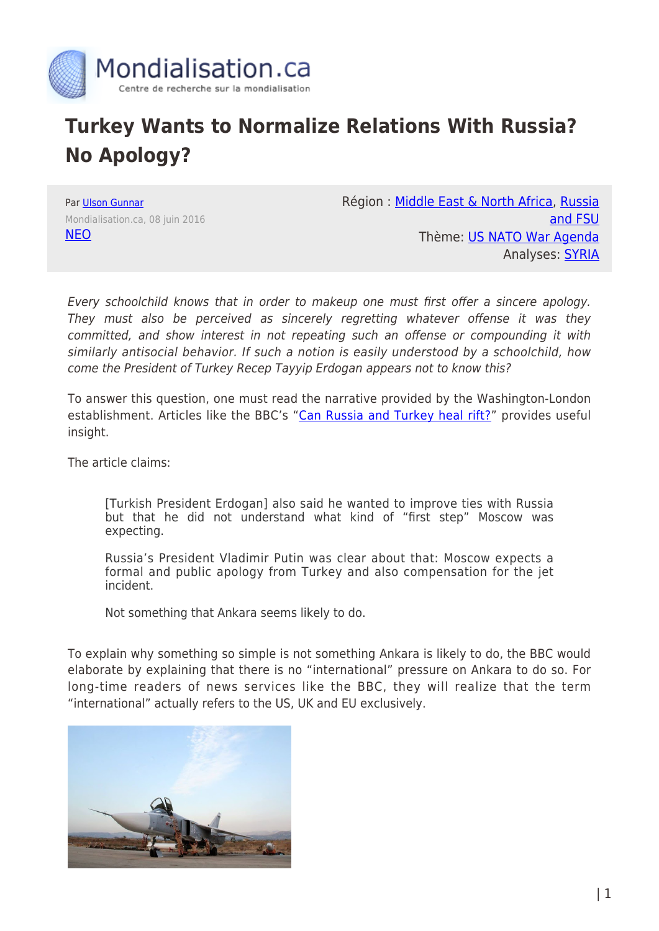

## **Turkey Wants to Normalize Relations With Russia? No Apology?**

Par [Ulson Gunnar](https://www.mondialisation.ca/author/gunnar) Mondialisation.ca, 08 juin 2016 [NEO](http://journal-neo.org/2016/06/08/turkey-wants-to-normalize-relations-with-russia-for-free/)

Région : [Middle East & North Africa](https://www.mondialisation.ca/region/middle-east), [Russia](https://www.mondialisation.ca/region/russia-and-fsu) [and FSU](https://www.mondialisation.ca/region/russia-and-fsu) Thème: [US NATO War Agenda](https://www.mondialisation.ca/theme/us-nato-war-agenda) Analyses: **SYRIA** 

Every schoolchild knows that in order to makeup one must first offer a sincere apology. They must also be perceived as sincerely regretting whatever offense it was they committed, and show interest in not repeating such an offense or compounding it with similarly antisocial behavior. If such a notion is easily understood by a schoolchild, how come the President of Turkey Recep Tayyip Erdogan appears not to know this?

To answer this question, one must read the narrative provided by the Washington-London establishment. Articles like the BBC's "[Can Russia and Turkey heal rift?"](http://www.bbc.com/news/world-europe-36428518) provides useful insight.

The article claims:

[Turkish President Erdogan] also said he wanted to improve ties with Russia but that he did not understand what kind of "first step" Moscow was expecting.

Russia's President Vladimir Putin was clear about that: Moscow expects a formal and public apology from Turkey and also compensation for the jet incident.

Not something that Ankara seems likely to do.

To explain why something so simple is not something Ankara is likely to do, the BBC would elaborate by explaining that there is no "international" pressure on Ankara to do so. For long-time readers of news services like the BBC, they will realize that the term "international" actually refers to the US, UK and EU exclusively.

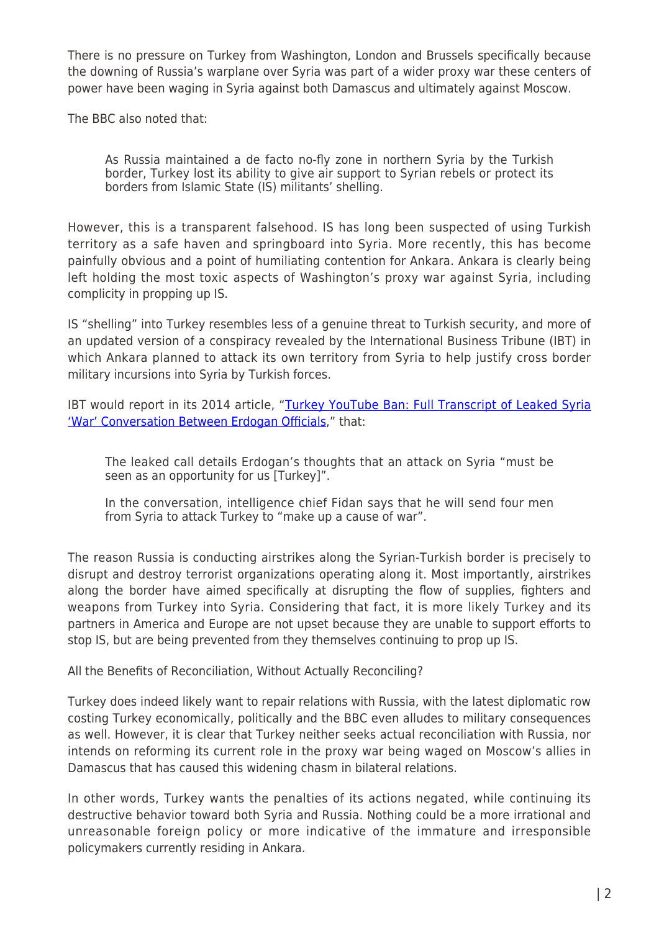There is no pressure on Turkey from Washington, London and Brussels specifically because the downing of Russia's warplane over Syria was part of a wider proxy war these centers of power have been waging in Syria against both Damascus and ultimately against Moscow.

The BBC also noted that:

As Russia maintained a de facto no-fly zone in northern Syria by the Turkish border, Turkey lost its ability to give air support to Syrian rebels or protect its borders from Islamic State (IS) militants' shelling.

However, this is a transparent falsehood. IS has long been suspected of using Turkish territory as a safe haven and springboard into Syria. More recently, this has become painfully obvious and a point of humiliating contention for Ankara. Ankara is clearly being left holding the most toxic aspects of Washington's proxy war against Syria, including complicity in propping up IS.

IS "shelling" into Turkey resembles less of a genuine threat to Turkish security, and more of an updated version of a conspiracy revealed by the International Business Tribune (IBT) in which Ankara planned to attack its own territory from Syria to help justify cross border military incursions into Syria by Turkish forces.

IBT would report in its 2014 article, "[Turkey YouTube Ban: Full Transcript of Leaked Syria](http://www.ibtimes.co.uk/turkey-youtube-ban-full-transcript-leaked-syria-war-conversation-between-erdogan-officials-1442161) ['War' Conversation Between Erdogan Officials,](http://www.ibtimes.co.uk/turkey-youtube-ban-full-transcript-leaked-syria-war-conversation-between-erdogan-officials-1442161)" that:

The leaked call details Erdogan's thoughts that an attack on Syria "must be seen as an opportunity for us [Turkey]".

In the conversation, intelligence chief Fidan says that he will send four men from Syria to attack Turkey to "make up a cause of war".

The reason Russia is conducting airstrikes along the Syrian-Turkish border is precisely to disrupt and destroy terrorist organizations operating along it. Most importantly, airstrikes along the border have aimed specifically at disrupting the flow of supplies, fighters and weapons from Turkey into Syria. Considering that fact, it is more likely Turkey and its partners in America and Europe are not upset because they are unable to support efforts to stop IS, but are being prevented from they themselves continuing to prop up IS.

All the Benefits of Reconciliation, Without Actually Reconciling?

Turkey does indeed likely want to repair relations with Russia, with the latest diplomatic row costing Turkey economically, politically and the BBC even alludes to military consequences as well. However, it is clear that Turkey neither seeks actual reconciliation with Russia, nor intends on reforming its current role in the proxy war being waged on Moscow's allies in Damascus that has caused this widening chasm in bilateral relations.

In other words, Turkey wants the penalties of its actions negated, while continuing its destructive behavior toward both Syria and Russia. Nothing could be a more irrational and unreasonable foreign policy or more indicative of the immature and irresponsible policymakers currently residing in Ankara.